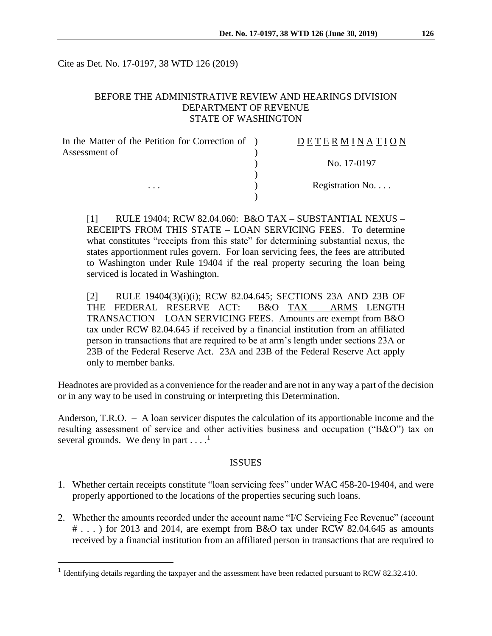Cite as Det. No. 17-0197, 38 WTD 126 (2019)

#### BEFORE THE ADMINISTRATIVE REVIEW AND HEARINGS DIVISION DEPARTMENT OF REVENUE STATE OF WASHINGTON

| In the Matter of the Petition for Correction of ) | DETERMINATION   |
|---------------------------------------------------|-----------------|
| Assessment of                                     |                 |
|                                                   | No. 17-0197     |
|                                                   |                 |
| $\cdots$                                          | Registration No |
|                                                   |                 |

[1] RULE 19404; RCW 82.04.060: B&O TAX – SUBSTANTIAL NEXUS – RECEIPTS FROM THIS STATE – LOAN SERVICING FEES. To determine what constitutes "receipts from this state" for determining substantial nexus, the states apportionment rules govern. For loan servicing fees, the fees are attributed to Washington under Rule 19404 if the real property securing the loan being serviced is located in Washington.

[2] RULE 19404(3)(i)(i); RCW 82.04.645; SECTIONS 23A AND 23B OF THE FEDERAL RESERVE ACT: B&O TAX – ARMS LENGTH TRANSACTION – LOAN SERVICING FEES. Amounts are exempt from B&O tax under RCW 82.04.645 if received by a financial institution from an affiliated person in transactions that are required to be at arm's length under sections 23A or 23B of the Federal Reserve Act. 23A and 23B of the Federal Reserve Act apply only to member banks.

Headnotes are provided as a convenience for the reader and are not in any way a part of the decision or in any way to be used in construing or interpreting this Determination.

Anderson, T.R.O. – A loan servicer disputes the calculation of its apportionable income and the resulting assessment of service and other activities business and occupation ("B&O") tax on several grounds. We deny in part  $\dots$ <sup>1</sup>

#### ISSUES

- 1. Whether certain receipts constitute "loan servicing fees" under WAC 458-20-19404, and were properly apportioned to the locations of the properties securing such loans.
- 2. Whether the amounts recorded under the account name "I/C Servicing Fee Revenue" (account # . . . ) for 2013 and 2014, are exempt from B&O tax under RCW 82.04.645 as amounts received by a financial institution from an affiliated person in transactions that are required to

 $\overline{a}$ 

<sup>&</sup>lt;sup>1</sup> Identifying details regarding the taxpayer and the assessment have been redacted pursuant to RCW 82.32.410.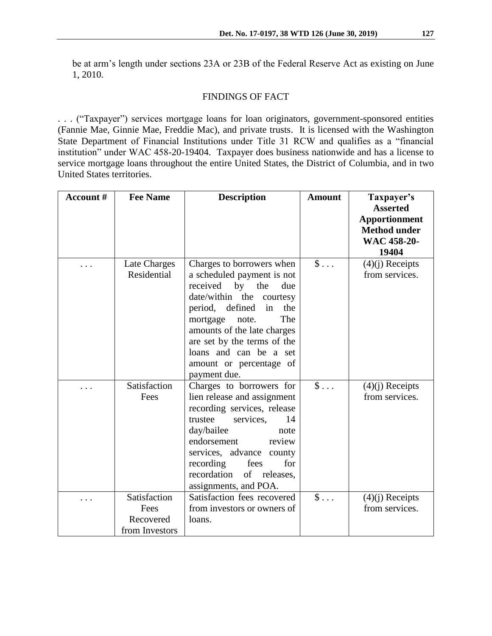be at arm's length under sections 23A or 23B of the Federal Reserve Act as existing on June 1, 2010.

## FINDINGS OF FACT

. . . ("Taxpayer") services mortgage loans for loan originators, government-sponsored entities (Fannie Mae, Ginnie Mae, Freddie Mac), and private trusts. It is licensed with the Washington State Department of Financial Institutions under Title 31 RCW and qualifies as a "financial institution" under WAC 458-20-19404. Taxpayer does business nationwide and has a license to service mortgage loans throughout the entire United States, the District of Columbia, and in two United States territories.

| <b>Account</b> # | <b>Fee Name</b>                                     | <b>Description</b>                                                                                                                                                                                                                                                                                                 | <b>Amount</b>        | Taxpayer's<br><b>Asserted</b><br><b>Apportionment</b><br><b>Method under</b><br><b>WAC 458-20-</b> |
|------------------|-----------------------------------------------------|--------------------------------------------------------------------------------------------------------------------------------------------------------------------------------------------------------------------------------------------------------------------------------------------------------------------|----------------------|----------------------------------------------------------------------------------------------------|
|                  |                                                     |                                                                                                                                                                                                                                                                                                                    |                      | 19404                                                                                              |
|                  | Late Charges<br>Residential                         | Charges to borrowers when<br>a scheduled payment is not<br>received<br>by the<br>due<br>date/within the<br>courtesy<br>period, defined<br>the<br>in<br>The<br>note.<br>mortgage<br>amounts of the late charges<br>are set by the terms of the<br>loans and can be a set<br>amount or percentage of<br>payment due. | $\mathsf{\$}\ldots$  | $(4)(j)$ Receipts<br>from services.                                                                |
| .                | Satisfaction<br>Fees                                | Charges to borrowers for<br>lien release and assignment<br>recording services, release<br>trustee<br>services,<br>14<br>day/bailee<br>note<br>review<br>endorsement<br>services, advance county<br>recording<br>fees<br>for<br>recordation<br>of releases.<br>assignments, and POA.                                | $\mathsf{\$} \ldots$ | $(4)(i)$ Receipts<br>from services.                                                                |
|                  | Satisfaction<br>Fees<br>Recovered<br>from Investors | Satisfaction fees recovered<br>from investors or owners of<br>loans.                                                                                                                                                                                                                                               | $\$\ldots$           | $(4)(i)$ Receipts<br>from services.                                                                |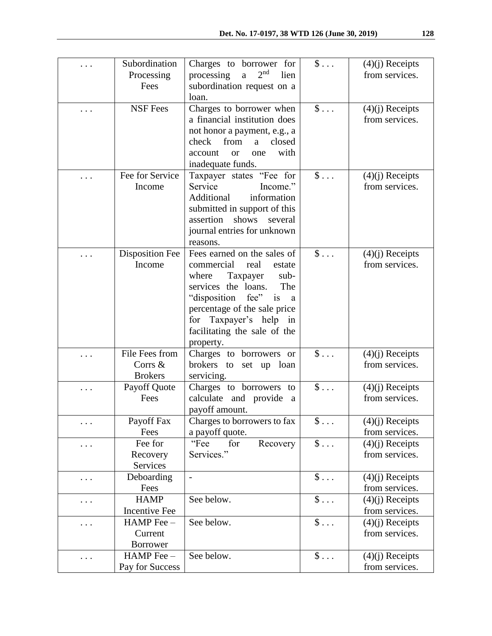|          | Subordination               | Charges to borrower for                           | $\overline{\$}$ | $(4)(j)$ Receipts                   |
|----------|-----------------------------|---------------------------------------------------|-----------------|-------------------------------------|
|          | Processing                  | 2 <sup>nd</sup><br>processing<br>$\rm{a}$<br>lien |                 | from services.                      |
|          | Fees                        | subordination request on a                        |                 |                                     |
|          |                             | loan.                                             |                 |                                     |
|          | <b>NSF</b> Fees             | Charges to borrower when                          | $\$\ldots$      | $(4)(j)$ Receipts                   |
|          |                             | a financial institution does                      |                 | from services.                      |
|          |                             | not honor a payment, e.g., a                      |                 |                                     |
|          |                             | check<br>from<br>closed<br>a                      |                 |                                     |
|          |                             | with<br>account<br><b>or</b><br>one               |                 |                                     |
|          |                             | inadequate funds.                                 |                 |                                     |
|          | Fee for Service             | Taxpayer states "Fee for                          | $\$\ldots$      | $(4)(j)$ Receipts                   |
|          | Income                      | Service<br>Income."                               |                 | from services.                      |
|          |                             | Additional<br>information                         |                 |                                     |
|          |                             | submitted in support of this                      |                 |                                     |
|          |                             | assertion<br>shows<br>several                     |                 |                                     |
|          |                             | journal entries for unknown                       |                 |                                     |
|          |                             | reasons.                                          |                 |                                     |
|          | <b>Disposition Fee</b>      | Fees earned on the sales of                       | $\$             | $(4)(j)$ Receipts                   |
|          | Income                      | commercial<br>real<br>estate                      |                 | from services.                      |
|          |                             | Taxpayer<br>sub-<br>where                         |                 |                                     |
|          |                             | services the loans.<br>The                        |                 |                                     |
|          |                             | "disposition fee" is a                            |                 |                                     |
|          |                             | percentage of the sale price                      |                 |                                     |
|          |                             | for Taxpayer's help in                            |                 |                                     |
|          |                             | facilitating the sale of the                      |                 |                                     |
|          |                             | property.                                         |                 |                                     |
|          | File Fees from              | Charges to borrowers or                           | $\$\ldots$      | $(4)(j)$ Receipts                   |
|          | Corrs $&$<br><b>Brokers</b> | brokers to set up loan                            |                 | from services.                      |
|          |                             | servicing.                                        |                 |                                     |
|          | Payoff Quote<br>Fees        | Charges to borrowers to                           | $\$\ldots$      | $(4)(j)$ Receipts<br>from services. |
|          |                             | calculate and provide<br><sub>a</sub>             |                 |                                     |
|          | Payoff Fax                  | payoff amount.                                    | $\$\ldots$      | $(4)(j)$ Receipts                   |
|          | Fees                        | Charges to borrowers to fax<br>a payoff quote.    |                 | from services.                      |
|          | Fee for                     | "Fee<br>for<br>Recovery                           | $\$             | $(4)(j)$ Receipts                   |
|          | Recovery                    | Services."                                        |                 | from services.                      |
|          | Services                    |                                                   |                 |                                     |
|          | Deboarding                  | $\overline{\phantom{0}}$                          | $\S \ldots$     | $(4)(i)$ Receipts                   |
| $\cdots$ | Fees                        |                                                   |                 | from services.                      |
|          | <b>HAMP</b>                 | See below.                                        | $\S \dots$      | $(4)(i)$ Receipts                   |
| $\cdots$ | <b>Incentive Fee</b>        |                                                   |                 | from services.                      |
|          | HAMP Fee -                  | See below.                                        | $\$\ldots$      | $(4)(i)$ Receipts                   |
|          | Current                     |                                                   |                 | from services.                      |
|          | <b>Borrower</b>             |                                                   |                 |                                     |
|          | HAMP Fee -                  | See below.                                        | $\$             | $(4)(j)$ Receipts                   |
| .        | Pay for Success             |                                                   |                 | from services.                      |
|          |                             |                                                   |                 |                                     |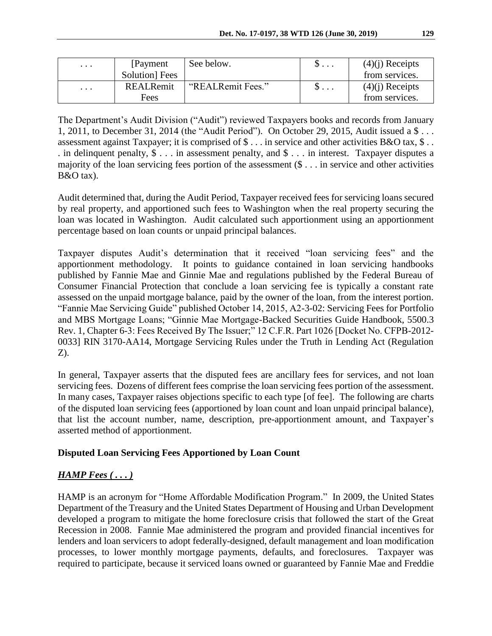| $\cdots$ | [Payment]     | See below.        | υ | $(4)(i)$ Receipts |
|----------|---------------|-------------------|---|-------------------|
|          | Solution Fees |                   |   | from services.    |
| $\ddots$ | REALRemit     | "REALRemit Fees." | υ | $(4)(i)$ Receipts |
|          | Fees          |                   |   | from services.    |

The Department's Audit Division ("Audit") reviewed Taxpayers books and records from January 1, 2011, to December 31, 2014 (the "Audit Period"). On October 29, 2015, Audit issued a \$ . . . assessment against Taxpayer; it is comprised of \$ . . . in service and other activities B&O tax, \$ . . . in delinquent penalty, \$ . . . in assessment penalty, and \$ . . . in interest. Taxpayer disputes a majority of the loan servicing fees portion of the assessment (\$ . . . in service and other activities B&O tax).

Audit determined that, during the Audit Period, Taxpayer received fees for servicing loans secured by real property, and apportioned such fees to Washington when the real property securing the loan was located in Washington. Audit calculated such apportionment using an apportionment percentage based on loan counts or unpaid principal balances.

Taxpayer disputes Audit's determination that it received "loan servicing fees" and the apportionment methodology. It points to guidance contained in loan servicing handbooks published by Fannie Mae and Ginnie Mae and regulations published by the Federal Bureau of Consumer Financial Protection that conclude a loan servicing fee is typically a constant rate assessed on the unpaid mortgage balance, paid by the owner of the loan, from the interest portion. "Fannie Mae Servicing Guide" published October 14, 2015, A2-3-02: Servicing Fees for Portfolio and MBS Mortgage Loans; "Ginnie Mae Mortgage-Backed Securities Guide Handbook, 5500.3 Rev. 1, Chapter 6-3: Fees Received By The Issuer;" 12 C.F.R. Part 1026 [Docket No. CFPB-2012- 0033] RIN 3170-AA14, Mortgage Servicing Rules under the Truth in Lending Act (Regulation Z).

In general, Taxpayer asserts that the disputed fees are ancillary fees for services, and not loan servicing fees. Dozens of different fees comprise the loan servicing fees portion of the assessment. In many cases, Taxpayer raises objections specific to each type [of fee]. The following are charts of the disputed loan servicing fees (apportioned by loan count and loan unpaid principal balance), that list the account number, name, description, pre-apportionment amount, and Taxpayer's asserted method of apportionment.

## **Disputed Loan Servicing Fees Apportioned by Loan Count**

## *HAMP Fees ( . . . )*

HAMP is an acronym for "Home Affordable Modification Program." In 2009, the United States Department of the Treasury and the United States Department of Housing and Urban Development developed a program to mitigate the home foreclosure crisis that followed the start of the Great Recession in 2008. Fannie Mae administered the program and provided financial incentives for lenders and loan servicers to adopt federally-designed, default management and loan modification processes, to lower monthly mortgage payments, defaults, and foreclosures. Taxpayer was required to participate, because it serviced loans owned or guaranteed by Fannie Mae and Freddie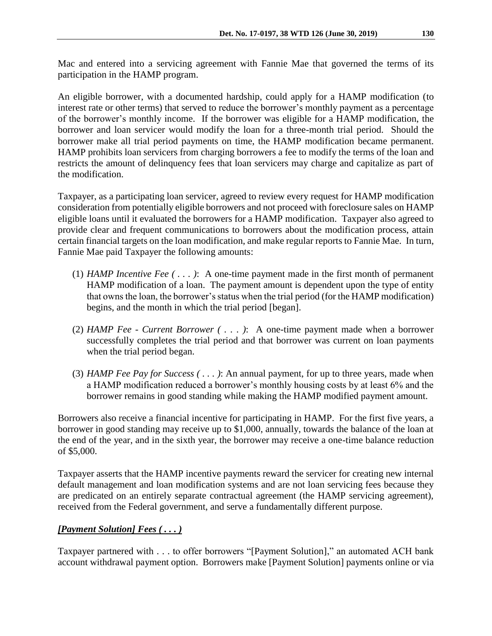Mac and entered into a servicing agreement with Fannie Mae that governed the terms of its participation in the HAMP program.

An eligible borrower, with a documented hardship, could apply for a HAMP modification (to interest rate or other terms) that served to reduce the borrower's monthly payment as a percentage of the borrower's monthly income. If the borrower was eligible for a HAMP modification, the borrower and loan servicer would modify the loan for a three-month trial period. Should the borrower make all trial period payments on time, the HAMP modification became permanent. HAMP prohibits loan servicers from charging borrowers a fee to modify the terms of the loan and restricts the amount of delinquency fees that loan servicers may charge and capitalize as part of the modification.

Taxpayer, as a participating loan servicer, agreed to review every request for HAMP modification consideration from potentially eligible borrowers and not proceed with foreclosure sales on HAMP eligible loans until it evaluated the borrowers for a HAMP modification. Taxpayer also agreed to provide clear and frequent communications to borrowers about the modification process, attain certain financial targets on the loan modification, and make regular reports to Fannie Mae. In turn, Fannie Mae paid Taxpayer the following amounts:

- (1) *HAMP Incentive Fee ( . . . )*: A one-time payment made in the first month of permanent HAMP modification of a loan. The payment amount is dependent upon the type of entity that owns the loan, the borrower's status when the trial period (for the HAMP modification) begins, and the month in which the trial period [began].
- (2) *HAMP Fee - Current Borrower ( . . . )*: A one-time payment made when a borrower successfully completes the trial period and that borrower was current on loan payments when the trial period began.
- (3) *HAMP Fee Pay for Success ( . . . )*: An annual payment, for up to three years, made when a HAMP modification reduced a borrower's monthly housing costs by at least 6% and the borrower remains in good standing while making the HAMP modified payment amount.

Borrowers also receive a financial incentive for participating in HAMP. For the first five years, a borrower in good standing may receive up to \$1,000, annually, towards the balance of the loan at the end of the year, and in the sixth year, the borrower may receive a one-time balance reduction of \$5,000.

Taxpayer asserts that the HAMP incentive payments reward the servicer for creating new internal default management and loan modification systems and are not loan servicing fees because they are predicated on an entirely separate contractual agreement (the HAMP servicing agreement), received from the Federal government, and serve a fundamentally different purpose.

## *[Payment Solution] Fees ( . . . )*

Taxpayer partnered with . . . to offer borrowers "[Payment Solution]," an automated ACH bank account withdrawal payment option. Borrowers make [Payment Solution] payments online or via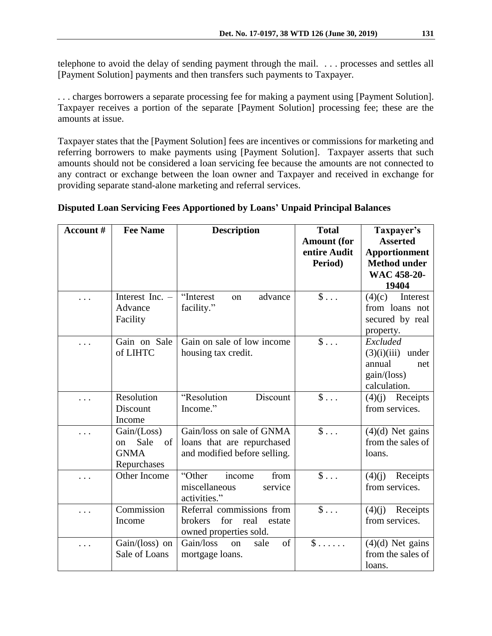telephone to avoid the delay of sending payment through the mail. . . . processes and settles all [Payment Solution] payments and then transfers such payments to Taxpayer.

. . . charges borrowers a separate processing fee for making a payment using [Payment Solution]. Taxpayer receives a portion of the separate [Payment Solution] processing fee; these are the amounts at issue.

Taxpayer states that the [Payment Solution] fees are incentives or commissions for marketing and referring borrowers to make payments using [Payment Solution]. Taxpayer asserts that such amounts should not be considered a loan servicing fee because the amounts are not connected to any contract or exchange between the loan owner and Taxpayer and received in exchange for providing separate stand-alone marketing and referral services.

| Account # | <b>Fee Name</b>                                                 | <b>Description</b>                                                                      | <b>Total</b><br><b>Amount (for</b><br>entire Audit<br>Period) | Taxpayer's<br><b>Asserted</b><br><b>Apportionment</b><br><b>Method under</b><br><b>WAC 458-20-</b><br>19404 |
|-----------|-----------------------------------------------------------------|-----------------------------------------------------------------------------------------|---------------------------------------------------------------|-------------------------------------------------------------------------------------------------------------|
| .         | Interest Inc. $-$<br>Advance<br>Facility                        | "Interest<br>advance<br>on<br>facility."                                                | $\$\ldots$                                                    | (4)(c)<br>Interest<br>from loans not<br>secured by real<br>property.                                        |
|           | Gain on Sale<br>of LIHTC                                        | Gain on sale of low income<br>housing tax credit.                                       | $\$\ldots$                                                    | Excluded<br>(3)(i)(iii)<br>under<br>annual<br>net<br>gain/(loss)<br>calculation.                            |
| .         | Resolution<br>Discount<br>Income                                | "Resolution<br>Discount<br>Income."                                                     | $\S \ldots$                                                   | $(4)(j)$ Receipts<br>from services.                                                                         |
| .         | Gain / (Loss)<br>Sale<br>of<br>on<br><b>GNMA</b><br>Repurchases | Gain/loss on sale of GNMA<br>loans that are repurchased<br>and modified before selling. | $\mathsf{\$}\ldots$                                           | $(4)(d)$ Net gains<br>from the sales of<br>loans.                                                           |
|           | Other Income                                                    | income<br>"Other<br>from<br>miscellaneous<br>service<br>activities."                    | $\S \dots$                                                    | (4)(j)<br>Receipts<br>from services.                                                                        |
| .         | Commission<br>Income                                            | Referral commissions from<br>for<br>real<br>brokers<br>estate<br>owned properties sold. | $\$\ldots$                                                    | $(4)(j)$ Receipts<br>from services.                                                                         |
| .         | Gain/(loss) on<br>Sale of Loans                                 | of<br>Gain/loss<br>sale<br>on<br>mortgage loans.                                        | $\hat{\mathbb{S}}$                                            | $(4)(d)$ Net gains<br>from the sales of<br>loans.                                                           |

# **Disputed Loan Servicing Fees Apportioned by Loans' Unpaid Principal Balances**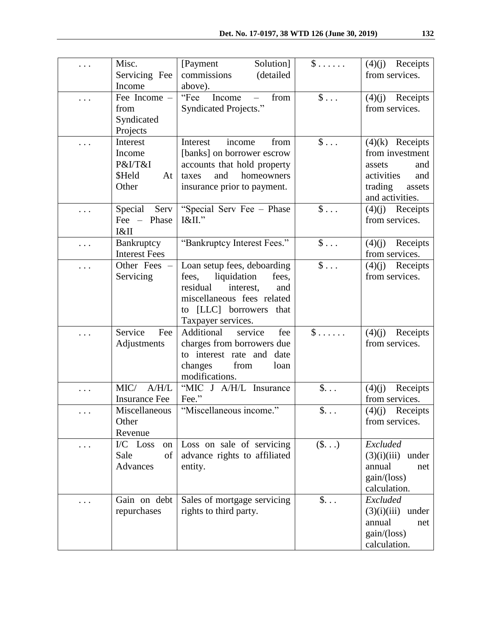| . | Misc.                | Solution]<br>[Payment]        | $\overline{\$}\dots$ | Receipts<br>(4)(j)   |
|---|----------------------|-------------------------------|----------------------|----------------------|
|   | Servicing Fee        | commissions<br>(detailed      |                      | from services.       |
|   | Income               | above).                       |                      |                      |
|   | Fee Income -         | "Fee<br>Income<br>from        | $\$\ldots$           | (4)(j)<br>Receipts   |
|   | from                 | Syndicated Projects."         |                      | from services.       |
|   | Syndicated           |                               |                      |                      |
|   | Projects             |                               |                      |                      |
|   | Interest             | Interest<br>income<br>from    | $\$\ldots$           | $(4)(k)$ Receipts    |
|   | Income               | [banks] on borrower escrow    |                      | from investment      |
|   | P&I/T&I              | accounts that hold property   |                      | assets<br>and        |
|   | \$Held<br>At         | and<br>homeowners<br>taxes    |                      | activities<br>and    |
|   | Other                | insurance prior to payment.   |                      | trading<br>assets    |
|   |                      |                               |                      | and activities.      |
|   | Serv<br>Special      | "Special Serv Fee - Phase     | $\$\ldots$           | $(4)(j)$ Receipts    |
|   | Fee - Phase          | I&II."                        |                      | from services.       |
|   | I&II                 |                               |                      |                      |
|   | Bankruptcy           | "Bankruptcy Interest Fees."   | $\$\ldots$           | (4)(j)<br>Receipts   |
|   | <b>Interest Fees</b> |                               |                      | from services.       |
|   | Other Fees -         | Loan setup fees, deboarding   | $\$\ldots$           | (4)(j)<br>Receipts   |
|   | Servicing            | fees,<br>liquidation<br>fees, |                      | from services.       |
|   |                      | residual<br>interest,<br>and  |                      |                      |
|   |                      | miscellaneous fees related    |                      |                      |
|   |                      | [LLC] borrowers<br>that<br>to |                      |                      |
|   |                      | Taxpayer services.            |                      |                      |
|   | Service<br>Fee       | fee<br>Additional<br>service  | $\mathbb{S}$         | (4)(j)<br>Receipts   |
|   | Adjustments          | charges from borrowers due    |                      | from services.       |
|   |                      | to interest rate and date     |                      |                      |
|   |                      | from<br>changes<br>loan       |                      |                      |
|   |                      | modifications.                |                      |                      |
|   | A/H/L<br>MIC/        | "MIC J A/H/L Insurance        | $\$                  | (4)(j)<br>Receipts   |
|   | <b>Insurance Fee</b> | Fee."                         |                      | from services.       |
| . | Miscellaneous        | "Miscellaneous income."       | $\$                  | $(4)(j)$ Receipts    |
|   | Other                |                               |                      | from services.       |
|   | Revenue              |                               |                      |                      |
|   | I/C Loss<br>on       | Loss on sale of servicing     | $(\$)$               | Excluded             |
|   | Sale<br>of           | advance rights to affiliated  |                      | (3)(i)(iii)<br>under |
|   | Advances             | entity.                       |                      | annual<br>net        |
|   |                      |                               |                      | gain/(loss)          |
|   |                      |                               |                      | calculation.         |
| . | Gain on debt         | Sales of mortgage servicing   | $\$                  | Excluded             |
|   | repurchases          | rights to third party.        |                      | (3)(i)(iii)<br>under |
|   |                      |                               |                      | annual<br>net        |
|   |                      |                               |                      | gain/(loss)          |
|   |                      |                               |                      | calculation.         |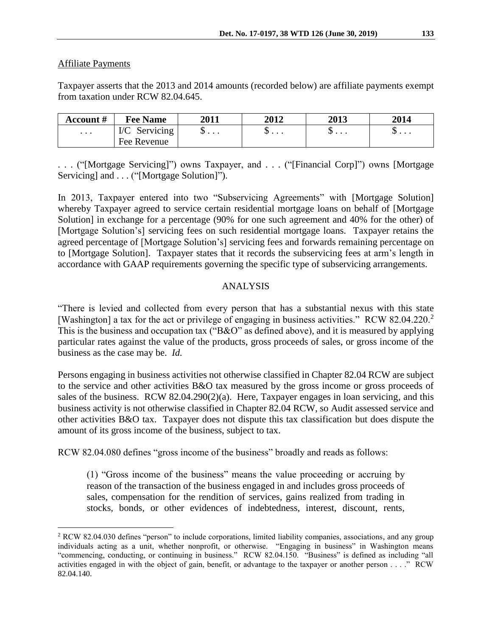#### Affiliate Payments

 $\overline{a}$ 

Taxpayer asserts that the 2013 and 2014 amounts (recorded below) are affiliate payments exempt from taxation under RCW 82.04.645.

| <b>Account</b> # | <b>Fee Name</b> | <b>2011</b> | 2012 | 2013 | 2014                     |
|------------------|-----------------|-------------|------|------|--------------------------|
| $\cdots$         | I/C Servicing   | ν           | υ    | ψ    | $\cup \cdot \cdot \cdot$ |
|                  | Fee Revenue     |             |      |      |                          |

. . . ("[Mortgage Servicing]") owns Taxpayer, and . . . ("[Financial Corp]") owns [Mortgage Servicing] and . . . ("[Mortgage Solution]").

In 2013, Taxpayer entered into two "Subservicing Agreements" with [Mortgage Solution] whereby Taxpayer agreed to service certain residential mortgage loans on behalf of [Mortgage Solution] in exchange for a percentage (90% for one such agreement and 40% for the other) of [Mortgage Solution's] servicing fees on such residential mortgage loans. Taxpayer retains the agreed percentage of [Mortgage Solution's] servicing fees and forwards remaining percentage on to [Mortgage Solution]. Taxpayer states that it records the subservicing fees at arm's length in accordance with GAAP requirements governing the specific type of subservicing arrangements.

#### ANALYSIS

"There is levied and collected from every person that has a substantial nexus with this state [Washington] a tax for the act or privilege of engaging in business activities." RCW 82.04.220.<sup>2</sup> This is the business and occupation tax ("B&O" as defined above), and it is measured by applying particular rates against the value of the products, gross proceeds of sales, or gross income of the business as the case may be. *Id.*

Persons engaging in business activities not otherwise classified in Chapter 82.04 RCW are subject to the service and other activities B&O tax measured by the gross income or gross proceeds of sales of the business. RCW 82.04.290(2)(a). Here, Taxpayer engages in loan servicing, and this business activity is not otherwise classified in Chapter 82.04 RCW, so Audit assessed service and other activities B&O tax. Taxpayer does not dispute this tax classification but does dispute the amount of its gross income of the business, subject to tax.

RCW 82.04.080 defines "gross income of the business" broadly and reads as follows:

(1) "Gross income of the business" means the value proceeding or accruing by reason of the transaction of the business engaged in and includes gross proceeds of sales, compensation for the rendition of services, gains realized from trading in stocks, bonds, or other evidences of indebtedness, interest, discount, rents,

<sup>2</sup> RCW 82.04.030 defines "person" to include corporations, limited liability companies, associations, and any group individuals acting as a unit, whether nonprofit, or otherwise. "Engaging in business" in Washington means "commencing, conducting, or continuing in business." RCW 82.04.150. "Business" is defined as including "all activities engaged in with the object of gain, benefit, or advantage to the taxpayer or another person . . . ." RCW 82.04.140.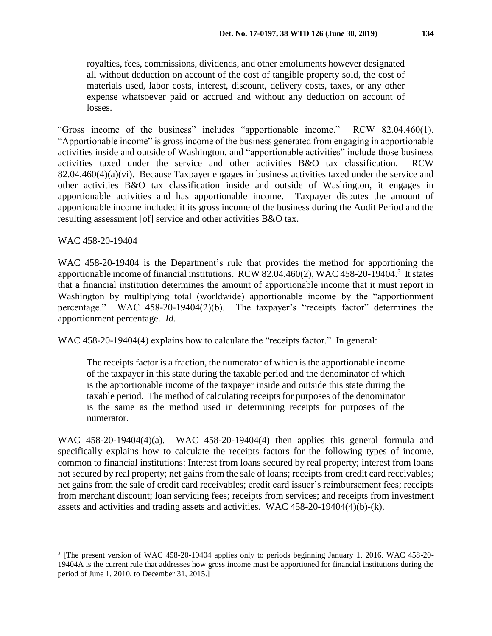royalties, fees, commissions, dividends, and other emoluments however designated all without deduction on account of the cost of tangible property sold, the cost of materials used, labor costs, interest, discount, delivery costs, taxes, or any other expense whatsoever paid or accrued and without any deduction on account of losses.

"Gross income of the business" includes "apportionable income." RCW 82.04.460(1). "Apportionable income" is gross income of the business generated from engaging in apportionable activities inside and outside of Washington, and "apportionable activities" include those business activities taxed under the service and other activities  $B&O$  tax classification. 82.04.460(4)(a)(vi). Because Taxpayer engages in business activities taxed under the service and other activities B&O tax classification inside and outside of Washington, it engages in apportionable activities and has apportionable income. Taxpayer disputes the amount of apportionable income included it its gross income of the business during the Audit Period and the resulting assessment [of] service and other activities B&O tax.

#### WAC 458-20-19404

 $\overline{a}$ 

WAC 458-20-19404 is the Department's rule that provides the method for apportioning the apportionable income of financial institutions. RCW 82.04.460(2), WAC 458-20-19404.<sup>3</sup> It states that a financial institution determines the amount of apportionable income that it must report in Washington by multiplying total (worldwide) apportionable income by the "apportionment percentage." WAC 458-20-19404(2)(b). The taxpayer's "receipts factor" determines the apportionment percentage. *Id.*

WAC 458-20-19404(4) explains how to calculate the "receipts factor." In general:

The receipts factor is a fraction, the numerator of which is the apportionable income of the taxpayer in this state during the taxable period and the denominator of which is the apportionable income of the taxpayer inside and outside this state during the taxable period. The method of calculating receipts for purposes of the denominator is the same as the method used in determining receipts for purposes of the numerator.

WAC 458-20-19404(4)(a). WAC 458-20-19404(4) then applies this general formula and specifically explains how to calculate the receipts factors for the following types of income, common to financial institutions: Interest from loans secured by real property; interest from loans not secured by real property; net gains from the sale of loans; receipts from credit card receivables; net gains from the sale of credit card receivables; credit card issuer's reimbursement fees; receipts from merchant discount; loan servicing fees; receipts from services; and receipts from investment assets and activities and trading assets and activities. WAC 458-20-19404(4)(b)-(k).

<sup>3</sup> [The present version of WAC 458-20-19404 applies only to periods beginning January 1, 2016. WAC 458-20- 19404A is the current rule that addresses how gross income must be apportioned for financial institutions during the period of June 1, 2010, to December 31, 2015.]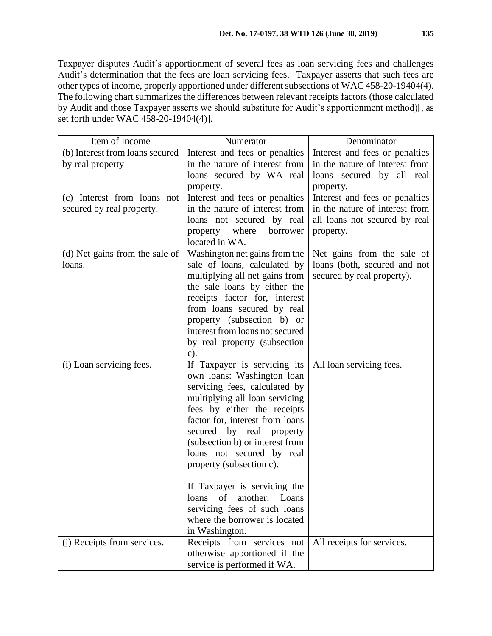Taxpayer disputes Audit's apportionment of several fees as loan servicing fees and challenges Audit's determination that the fees are loan servicing fees. Taxpayer asserts that such fees are other types of income, properly apportioned under different subsections of WAC 458-20-19404(4). The following chart summarizes the differences between relevant receipts factors (those calculated by Audit and those Taxpayer asserts we should substitute for Audit's apportionment method)[, as set forth under WAC 458-20-19404(4)].

| Item of Income                  | Numerator                       | Denominator                    |
|---------------------------------|---------------------------------|--------------------------------|
| (b) Interest from loans secured | Interest and fees or penalties  | Interest and fees or penalties |
| by real property                | in the nature of interest from  | in the nature of interest from |
|                                 | loans secured by WA real        | loans secured by all real      |
|                                 | property.                       | property.                      |
| (c) Interest from loans not     | Interest and fees or penalties  | Interest and fees or penalties |
| secured by real property.       | in the nature of interest from  | in the nature of interest from |
|                                 | loans not secured by real       | all loans not secured by real  |
|                                 | where<br>property<br>borrower   | property.                      |
|                                 | located in WA.                  |                                |
| (d) Net gains from the sale of  | Washington net gains from the   | Net gains from the sale of     |
| loans.                          | sale of loans, calculated by    | loans (both, secured and not   |
|                                 | multiplying all net gains from  | secured by real property).     |
|                                 | the sale loans by either the    |                                |
|                                 | receipts factor for, interest   |                                |
|                                 | from loans secured by real      |                                |
|                                 | property (subsection b) or      |                                |
|                                 | interest from loans not secured |                                |
|                                 | by real property (subsection    |                                |
|                                 | c).                             |                                |
| (i) Loan servicing fees.        | If Taxpayer is servicing its    | All loan servicing fees.       |
|                                 | own loans: Washington loan      |                                |
|                                 | servicing fees, calculated by   |                                |
|                                 | multiplying all loan servicing  |                                |
|                                 | fees by either the receipts     |                                |
|                                 | factor for, interest from loans |                                |
|                                 | secured by real<br>property     |                                |
|                                 | (subsection b) or interest from |                                |
|                                 | loans not secured by real       |                                |
|                                 | property (subsection c).        |                                |
|                                 | If Taxpayer is servicing the    |                                |
|                                 | loans of another: Loans         |                                |
|                                 | servicing fees of such loans    |                                |
|                                 | where the borrower is located   |                                |
|                                 | in Washington.                  |                                |
| (j) Receipts from services.     | Receipts from services not      | All receipts for services.     |
|                                 | otherwise apportioned if the    |                                |
|                                 | service is performed if WA.     |                                |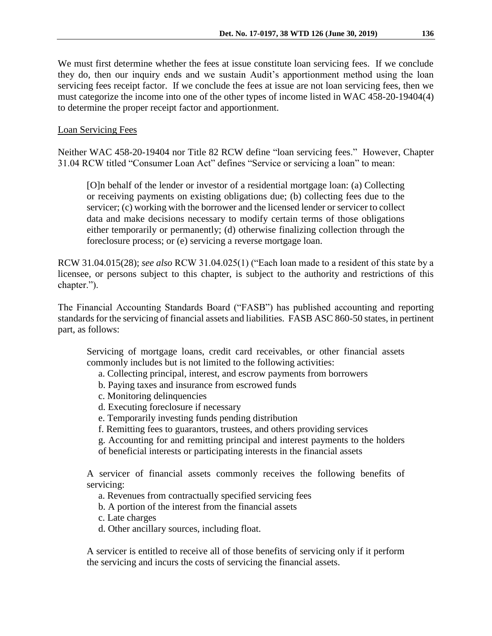We must first determine whether the fees at issue constitute loan servicing fees. If we conclude they do, then our inquiry ends and we sustain Audit's apportionment method using the loan servicing fees receipt factor. If we conclude the fees at issue are not loan servicing fees, then we must categorize the income into one of the other types of income listed in WAC 458-20-19404(4) to determine the proper receipt factor and apportionment.

### Loan Servicing Fees

Neither WAC 458-20-19404 nor Title 82 RCW define "loan servicing fees." However, Chapter 31.04 RCW titled "Consumer Loan Act" defines "Service or servicing a loan" to mean:

[O]n behalf of the lender or investor of a residential mortgage loan: (a) Collecting or receiving payments on existing obligations due; (b) collecting fees due to the servicer; (c) working with the borrower and the licensed lender or servicer to collect data and make decisions necessary to modify certain terms of those obligations either temporarily or permanently; (d) otherwise finalizing collection through the foreclosure process; or (e) servicing a reverse mortgage loan.

RCW 31.04.015(28); *see also* RCW 31.04.025(1) ("Each loan made to a resident of this state by a licensee, or persons subject to this chapter, is subject to the authority and restrictions of this chapter.").

The Financial Accounting Standards Board ("FASB") has published accounting and reporting standards for the servicing of financial assets and liabilities. FASB ASC 860-50 states, in pertinent part, as follows:

Servicing of mortgage loans, credit card receivables, or other financial assets commonly includes but is not limited to the following activities:

- a. Collecting principal, interest, and escrow payments from borrowers
- b. Paying taxes and insurance from escrowed funds
- c. Monitoring delinquencies
- d. Executing foreclosure if necessary
- e. Temporarily investing funds pending distribution
- f. Remitting fees to guarantors, trustees, and others providing services
- g. Accounting for and remitting principal and interest payments to the holders
- of beneficial interests or participating interests in the financial assets

A servicer of financial assets commonly receives the following benefits of servicing:

- a. Revenues from contractually specified servicing fees
- b. A portion of the interest from the financial assets
- c. Late charges
- d. Other ancillary sources, including float.

A servicer is entitled to receive all of those benefits of servicing only if it perform the servicing and incurs the costs of servicing the financial assets.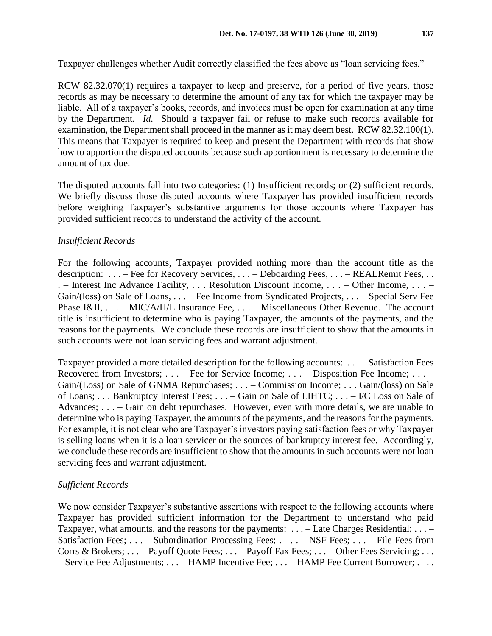Taxpayer challenges whether Audit correctly classified the fees above as "loan servicing fees."

RCW 82.32.070(1) requires a taxpayer to keep and preserve, for a period of five years, those records as may be necessary to determine the amount of any tax for which the taxpayer may be liable. All of a taxpayer's books, records, and invoices must be open for examination at any time by the Department. *Id.* Should a taxpayer fail or refuse to make such records available for examination, the Department shall proceed in the manner as it may deem best. RCW 82.32.100(1). This means that Taxpayer is required to keep and present the Department with records that show how to apportion the disputed accounts because such apportionment is necessary to determine the amount of tax due.

The disputed accounts fall into two categories: (1) Insufficient records; or (2) sufficient records. We briefly discuss those disputed accounts where Taxpayer has provided insufficient records before weighing Taxpayer's substantive arguments for those accounts where Taxpayer has provided sufficient records to understand the activity of the account.

### *Insufficient Records*

For the following accounts, Taxpayer provided nothing more than the account title as the description: ... – Fee for Recovery Services, ... – Deboarding Fees, ... – REALRemit Fees, .. . – Interest Inc Advance Facility, . . . Resolution Discount Income, . . . – Other Income, . . . – Gain/(loss) on Sale of Loans, . . . – Fee Income from Syndicated Projects, . . . – Special Serv Fee Phase I&II, . . . – MIC/A/H/L Insurance Fee, . . . – Miscellaneous Other Revenue. The account title is insufficient to determine who is paying Taxpayer, the amounts of the payments, and the reasons for the payments. We conclude these records are insufficient to show that the amounts in such accounts were not loan servicing fees and warrant adjustment.

Taxpayer provided a more detailed description for the following accounts: . . . – Satisfaction Fees Recovered from Investors; . . . – Fee for Service Income; . . . – Disposition Fee Income; . . . – Gain/(Loss) on Sale of GNMA Repurchases; . . . – Commission Income; . . . Gain/(loss) on Sale of Loans; . . . Bankruptcy Interest Fees; . . . – Gain on Sale of LIHTC; . . . – I/C Loss on Sale of Advances; ... – Gain on debt repurchases. However, even with more details, we are unable to determine who is paying Taxpayer, the amounts of the payments, and the reasons for the payments. For example, it is not clear who are Taxpayer's investors paying satisfaction fees or why Taxpayer is selling loans when it is a loan servicer or the sources of bankruptcy interest fee. Accordingly, we conclude these records are insufficient to show that the amounts in such accounts were not loan servicing fees and warrant adjustment.

#### *Sufficient Records*

We now consider Taxpayer's substantive assertions with respect to the following accounts where Taxpayer has provided sufficient information for the Department to understand who paid Taxpayer, what amounts, and the reasons for the payments: ... - Late Charges Residential; ... -Satisfaction Fees; . . . – Subordination Processing Fees; . . . – NSF Fees; . . . – File Fees from Corrs & Brokers; ... – Payoff Quote Fees; ... – Payoff Fax Fees; ... – Other Fees Servicing; ... – Service Fee Adjustments; . . . – HAMP Incentive Fee; . . . – HAMP Fee Current Borrower; . . .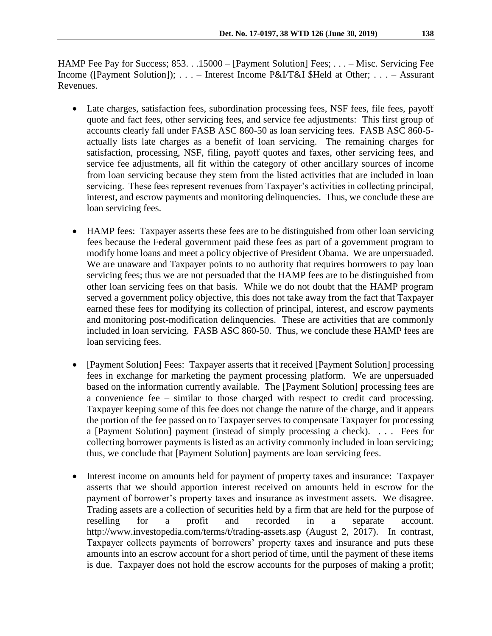HAMP Fee Pay for Success; 853. . .15000 – [Payment Solution] Fees; . . . – Misc. Servicing Fee Income ([Payment Solution]); . . . – Interest Income P&I/T&I \$Held at Other; . . . – Assurant Revenues.

- Late charges, satisfaction fees, subordination processing fees, NSF fees, file fees, payoff quote and fact fees, other servicing fees, and service fee adjustments: This first group of accounts clearly fall under FASB ASC 860-50 as loan servicing fees. FASB ASC 860-5 actually lists late charges as a benefit of loan servicing. The remaining charges for satisfaction, processing, NSF, filing, payoff quotes and faxes, other servicing fees, and service fee adjustments, all fit within the category of other ancillary sources of income from loan servicing because they stem from the listed activities that are included in loan servicing. These fees represent revenues from Taxpayer's activities in collecting principal, interest, and escrow payments and monitoring delinquencies. Thus, we conclude these are loan servicing fees.
- HAMP fees: Taxpayer asserts these fees are to be distinguished from other loan servicing fees because the Federal government paid these fees as part of a government program to modify home loans and meet a policy objective of President Obama. We are unpersuaded. We are unaware and Taxpayer points to no authority that requires borrowers to pay loan servicing fees; thus we are not persuaded that the HAMP fees are to be distinguished from other loan servicing fees on that basis. While we do not doubt that the HAMP program served a government policy objective, this does not take away from the fact that Taxpayer earned these fees for modifying its collection of principal, interest, and escrow payments and monitoring post-modification delinquencies. These are activities that are commonly included in loan servicing. FASB ASC 860-50. Thus, we conclude these HAMP fees are loan servicing fees.
- [Payment Solution] Fees: Taxpayer asserts that it received [Payment Solution] processing fees in exchange for marketing the payment processing platform. We are unpersuaded based on the information currently available. The [Payment Solution] processing fees are a convenience fee – similar to those charged with respect to credit card processing. Taxpayer keeping some of this fee does not change the nature of the charge, and it appears the portion of the fee passed on to Taxpayer serves to compensate Taxpayer for processing a [Payment Solution] payment (instead of simply processing a check). . . . Fees for collecting borrower payments is listed as an activity commonly included in loan servicing; thus, we conclude that [Payment Solution] payments are loan servicing fees.
- Interest income on amounts held for payment of property taxes and insurance: Taxpayer asserts that we should apportion interest received on amounts held in escrow for the payment of borrower's property taxes and insurance as investment assets. We disagree. Trading assets are a collection of securities held by a firm that are held for the purpose of reselling for a profit and recorded in a separate account. http://www.investopedia.com/terms/t/trading-assets.asp (August 2, 2017). In contrast, Taxpayer collects payments of borrowers' property taxes and insurance and puts these amounts into an escrow account for a short period of time, until the payment of these items is due. Taxpayer does not hold the escrow accounts for the purposes of making a profit;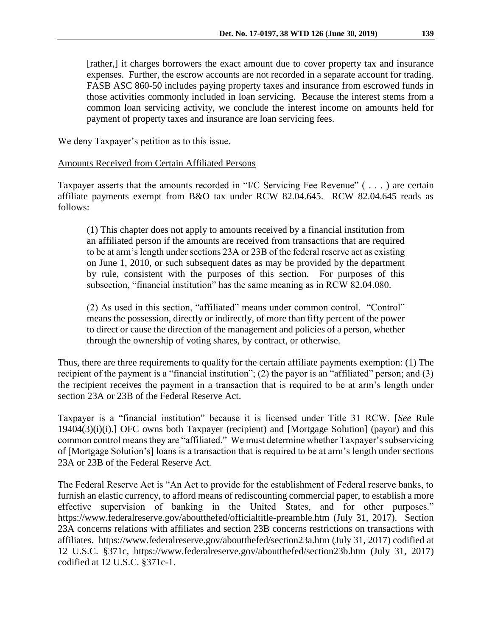[rather,] it charges borrowers the exact amount due to cover property tax and insurance expenses. Further, the escrow accounts are not recorded in a separate account for trading. FASB ASC 860-50 includes paying property taxes and insurance from escrowed funds in those activities commonly included in loan servicing. Because the interest stems from a common loan servicing activity, we conclude the interest income on amounts held for payment of property taxes and insurance are loan servicing fees.

We deny Taxpayer's petition as to this issue.

### Amounts Received from Certain Affiliated Persons

Taxpayer asserts that the amounts recorded in "I/C Servicing Fee Revenue" ( . . . ) are certain affiliate payments exempt from B&O tax under RCW 82.04.645. RCW 82.04.645 reads as follows:

(1) This chapter does not apply to amounts received by a financial institution from an affiliated person if the amounts are received from transactions that are required to be at arm's length under sections 23A or 23B of the federal reserve act as existing on June 1, 2010, or such subsequent dates as may be provided by the department by rule, consistent with the purposes of this section. For purposes of this subsection, "financial institution" has the same meaning as in RCW 82.04.080.

(2) As used in this section, "affiliated" means under common control. "Control" means the possession, directly or indirectly, of more than fifty percent of the power to direct or cause the direction of the management and policies of a person, whether through the ownership of voting shares, by contract, or otherwise.

Thus, there are three requirements to qualify for the certain affiliate payments exemption: (1) The recipient of the payment is a "financial institution"; (2) the payor is an "affiliated" person; and (3) the recipient receives the payment in a transaction that is required to be at arm's length under section 23A or 23B of the Federal Reserve Act.

Taxpayer is a "financial institution" because it is licensed under Title 31 RCW. [*See* Rule 19404(3)(i)(i).] OFC owns both Taxpayer (recipient) and [Mortgage Solution] (payor) and this common control means they are "affiliated." We must determine whether Taxpayer's subservicing of [Mortgage Solution's] loans is a transaction that is required to be at arm's length under sections 23A or 23B of the Federal Reserve Act.

The Federal Reserve Act is "An Act to provide for the establishment of Federal reserve banks, to furnish an elastic currency, to afford means of rediscounting commercial paper, to establish a more effective supervision of banking in the United States, and for other purposes." https://www.federalreserve.gov/aboutthefed/officialtitle-preamble.htm (July 31, 2017). Section 23A concerns relations with affiliates and section 23B concerns restrictions on transactions with affiliates. https://www.federalreserve.gov/aboutthefed/section23a.htm (July 31, 2017) codified at 12 U.S.C. §371c, https://www.federalreserve.gov/aboutthefed/section23b.htm (July 31, 2017) codified at 12 U.S.C. §371c-1.